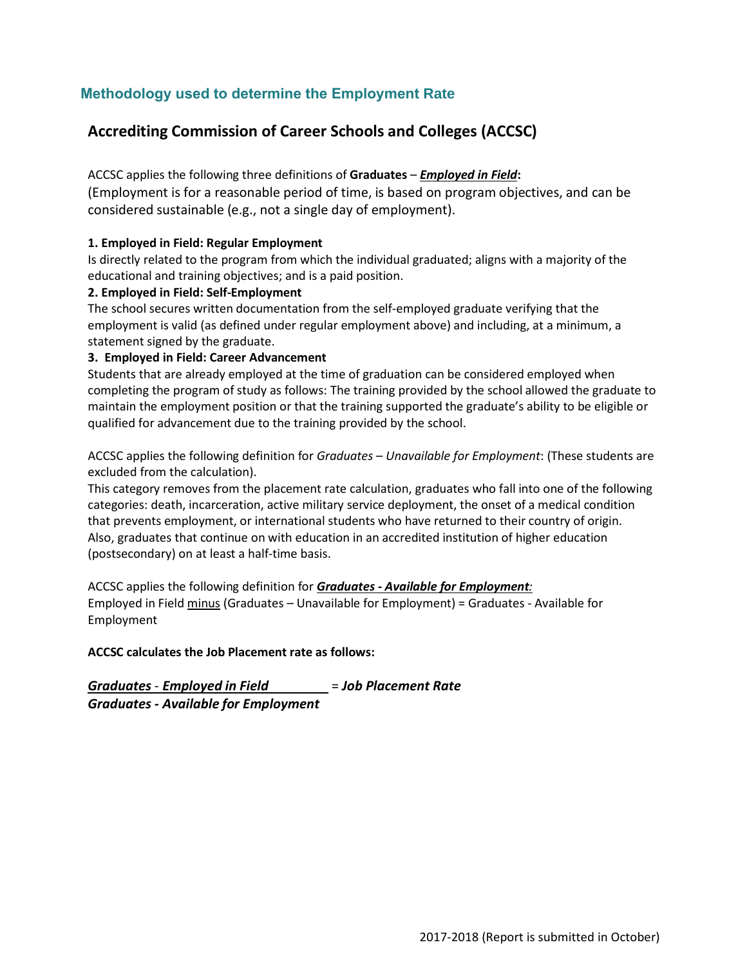### **Methodology used to determine the Employment Rate**

# **Accrediting Commission of Career Schools and Colleges (ACCSC)**

ACCSC applies the following three definitions of **Graduates** – *Employed in Field***:** (Employment is for a reasonable period of time, is based on program objectives, and can be considered sustainable (e.g., not a single day of employment).

#### **1. Employed in Field: Regular Employment**

Is directly related to the program from which the individual graduated; aligns with a majority of the educational and training objectives; and is a paid position.

#### **2. Employed in Field: Self-Employment**

The school secures written documentation from the self-employed graduate verifying that the employment is valid (as defined under regular employment above) and including, at a minimum, a statement signed by the graduate.

#### **3. Employed in Field: Career Advancement**

Students that are already employed at the time of graduation can be considered employed when completing the program of study as follows: The training provided by the school allowed the graduate to maintain the employment position or that the training supported the graduate's ability to be eligible or qualified for advancement due to the training provided by the school.

ACCSC applies the following definition for *Graduates – Unavailable for Employment*: (These students are excluded from the calculation).

This category removes from the placement rate calculation, graduates who fall into one of the following categories: death, incarceration, active military service deployment, the onset of a medical condition that prevents employment, or international students who have returned to their country of origin. Also, graduates that continue on with education in an accredited institution of higher education (postsecondary) on at least a half-time basis.

ACCSC applies the following definition for *Graduates - Available for Employment:* Employed in Field minus (Graduates – Unavailable for Employment) = Graduates - Available for Employment

### **ACCSC calculates the Job Placement rate as follows:**

*Graduates* - *Employed in Field* = *Job Placement Rate Graduates - Available for Employment*